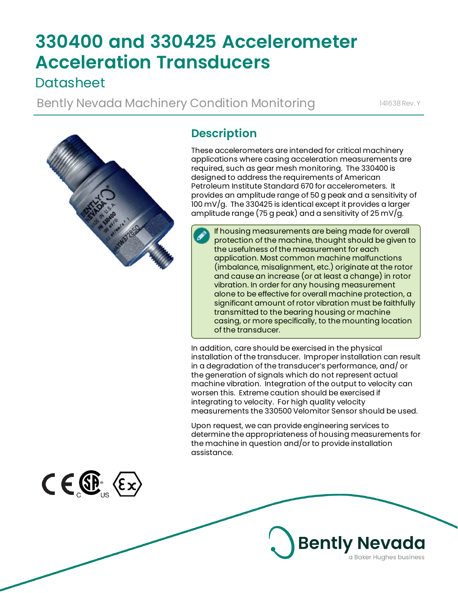# **330400 and 330425 Accelerometer Acceleration Transducers**

# **Datasheet**

Bently Nevada Machinery Condition Monitoring 141638 Rev. Y



# **Description**

These accelerometers are intended for critical machinery applications where casing acceleration measurements are required, such as gear mesh monitoring. The 330400 is designed to address the requirements of American Petroleum Institute Standard 670 for accelerometers. It provides an amplitude range of 50 g peak and a sensitivity of 100 mV/g. The 330425 is identical except it provides a larger amplitude range (75 g peak) and a sensitivity of 25 mV/g.

If housing measurements are being made for overall protection of the machine, thought should be given to the usefulness of the measurement for each application. Most common machine malfunctions (imbalance, misalignment, etc.) originate at the rotor and cause an increase (or at least a change) in rotor vibration. In order for any housing measurement alone to be effective for overall machine protection, a significant amount of rotor vibration must be faithfully transmitted to the bearing housing or machine casing, or more specifically, to the mounting location of the transducer.

In addition, care should be exercised in the physical installation of the transducer. Improper installation can result in a degradation of the transducer's performance, and/ or the generation of signals which do not represent actual machine vibration. Integration of the output to velocity can worsen this. Extreme caution should be exercised if integrating to velocity. For high quality velocity measurements the 330500 Velomitor Sensor should be used.

Upon request, we can provide engineering services to determine the appropriateness of housing measurements for the machine in question and/or to provide installation assistance.

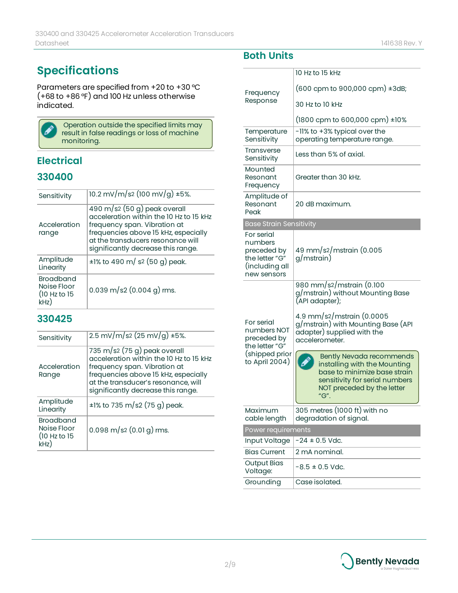# **Specifications**

Parameters are specified from +20 to +30 °C (+68 to +86 °F) and 100 Hz unless otherwise indicated.



Operation outside the specified limits may result in false readings or loss of machine monitoring.

### **Electrical**

### **330400**

| Sensitivity                                             | $10.2 \text{ mV/m/s}$ (100 mV/g) ±5%.                                                                                                                                                                                                  |
|---------------------------------------------------------|----------------------------------------------------------------------------------------------------------------------------------------------------------------------------------------------------------------------------------------|
| Acceleration<br>range                                   | 490 m/s <sup>2</sup> (50 g) peak overall<br>acceleration within the 10 Hz to 15 kHz<br>frequency span. Vibration at<br>frequencies above 15 kHz, especially<br>at the transducers resonance will<br>significantly decrease this range. |
| Amplitude<br>Linearity                                  | $\pm$ 1% to 490 m/ s2 (50 g) peak.                                                                                                                                                                                                     |
| <b>Broadband</b><br>Noise Floor<br>(10 Hz to 15<br>kHz) | $0.039 \text{ m/s}$ 2 $(0.004 \text{ g}) \text{ rms}$ .                                                                                                                                                                                |

### **330425**

| Sensitivity                                             | 2.5 mV/m/s2 (25 mV/g) $\pm$ 5%.                                                                                                                                                                                                |  |
|---------------------------------------------------------|--------------------------------------------------------------------------------------------------------------------------------------------------------------------------------------------------------------------------------|--|
| Acceleration<br>Range                                   | 735 m/s2 $(75 g)$ peak overall<br>acceleration within the 10 Hz to 15 kHz<br>frequency span. Vibration at<br>frequencies above 15 kHz, especially<br>at the transducer's resonance, will<br>significantly decrease this range. |  |
| Amplitude<br>Linearity                                  | $\pm$ 1% to 735 m/s2 (75 g) peak.                                                                                                                                                                                              |  |
| <b>Broadband</b><br>Noise Floor<br>(10 Hz to 15<br>kHz) | $0.098 \text{ m/s}$ 2 $(0.01 \text{ g}) \text{ rms}$ .                                                                                                                                                                         |  |

# **Both Units**

| Frequency<br>Response                                                                          | 10 Hz to 15 kHz                                                                                                                                                         |  |
|------------------------------------------------------------------------------------------------|-------------------------------------------------------------------------------------------------------------------------------------------------------------------------|--|
|                                                                                                | $(600$ cpm to 900,000 cpm) $\pm$ 3dB;                                                                                                                                   |  |
|                                                                                                | 30 Hz to 10 kHz                                                                                                                                                         |  |
|                                                                                                | $(1800$ cpm to 600,000 cpm) $\pm 10\%$                                                                                                                                  |  |
| Temperature                                                                                    | -11% to +3% typical over the                                                                                                                                            |  |
| Sensitivity                                                                                    | operating temperature range.                                                                                                                                            |  |
| <b>Transverse</b><br>Sensitivity                                                               | Less than 5% of axial.                                                                                                                                                  |  |
| Mounted<br>Resonant<br>Frequency                                                               | Greater than 30 kHz.                                                                                                                                                    |  |
| Amplitude of<br>Resonant<br>Peak                                                               | 20 dB maximum.                                                                                                                                                          |  |
| <b>Base Strain Sensitivity</b>                                                                 |                                                                                                                                                                         |  |
| For serial<br>numbers<br>preceded by<br>the letter "G"<br>(including all<br>new sensors        | 49 mm/s2/mstrain (0.005<br>g/mstrain)                                                                                                                                   |  |
| For serial<br>numbers NOT<br>preceded by<br>the letter "G"<br>(shipped prior<br>to April 2004) | 980 mm/s2/mstrain (0.100<br>g/mstrain) without Mounting Base<br>(API adapter);                                                                                          |  |
|                                                                                                | 4.9 mm/s2/mstrain (0.0005<br>g/mstrain) with Mounting Base (API<br>adapter) supplied with the<br>accelerometer.                                                         |  |
|                                                                                                | <b>Bently Nevada recommends</b><br>installing with the Mounting<br>base to minimize base strain<br>sensitivity for serial numbers<br>NOT preceded by the letter<br>"G". |  |
| Maximum<br>cable length                                                                        | 305 metres (1000 ft) with no<br>degradation of signal.                                                                                                                  |  |
| Power requirements                                                                             |                                                                                                                                                                         |  |
| Input Voltage                                                                                  | $-24 \pm 0.5$ Vdc.                                                                                                                                                      |  |
| <b>Bias Current</b>                                                                            | 2 mA nominal.                                                                                                                                                           |  |
| <b>Output Bias</b><br>Voltage:                                                                 | $-8.5 \pm 0.5$ Vdc.                                                                                                                                                     |  |
| Grounding                                                                                      | Case isolated.                                                                                                                                                          |  |

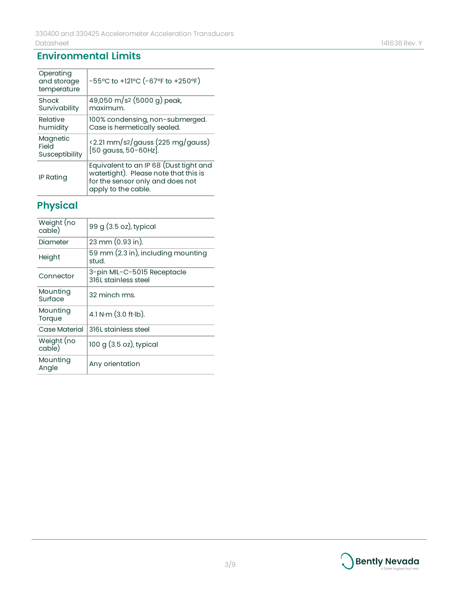### **Environmental Limits**

| Operating<br>and storage<br>temperature | -55°C to +121°C (-67°F to +250°F)                                                                                                          |
|-----------------------------------------|--------------------------------------------------------------------------------------------------------------------------------------------|
| Shock<br>Survivability                  | 49,050 m/s2 (5000 g) peak,<br>maximum.                                                                                                     |
| Relative<br>humidity                    | 100% condensing, non-submerged.<br>Case is hermetically sealed.                                                                            |
| Magnetic<br>Field<br>Susceptibility     | $\frac{1}{2}$ (2.21 mm/s2/gauss (225 mg/gauss)<br>[50 gauss, 50-60Hz].                                                                     |
| IP Rating                               | Equivalent to an IP 68 (Dust tight and<br>watertight). Please note that this is<br>for the sensor only and does not<br>apply to the cable. |

# **Physical**

| Weight (no<br>cable) | 99 g (3.5 oz), typical                              |
|----------------------|-----------------------------------------------------|
| Diameter             | 23 mm (0.93 in).                                    |
| Height               | 59 mm (2.3 in), including mounting<br>stud.         |
| Connector            | 3-pin MIL-C-5015 Receptacle<br>316L stainless steel |
| Mounting<br>Surface  | 32 minch rms.                                       |
| Mounting<br>Torque   | 4.1 N $\cdot$ m (3.0 ft $\cdot$ lb).                |
| <b>Case Material</b> | 316L stainless steel                                |
| Weight (no<br>cable) | $100 g (3.5 oz)$ , typical                          |
| Mounting<br>Angle    | Any orientation                                     |

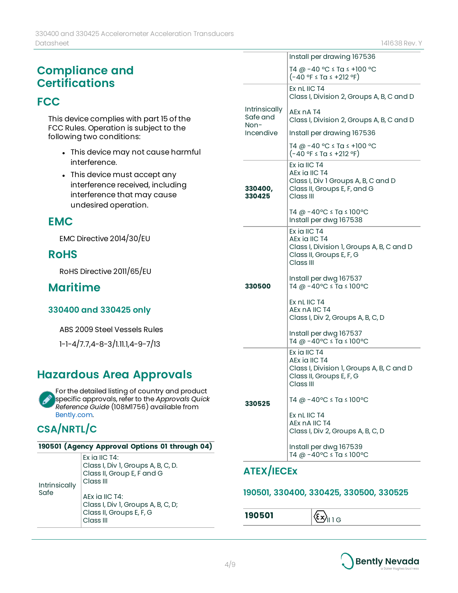# **Compliance and Certifications**

### **FCC**

This device complies with part 15 of the FCC Rules. Operation is subject to the following two conditions:

- This device may not cause harmful interference.
- This device must accept any interference received, including interference that may cause undesired operation.

### **EMC**

EMC Directive 2014/30/EU

### **RoHS**

RoHS Directive 2011/65/EU

### **Maritime**

### **330400 and 330425 only**

ABS 2009 Steel Vessels Rules

1-1-4/7.7,4-8-3/1.11.1,4-9-7/13

# **Hazardous Area Approvals**

For the detailed listing of country and product specific approvals, refer to the *Approvals Quick Reference Guide* (108M1756) available from [Bently.com.](http://www.bently.com/)

# **CSA/NRTL/C**

#### **190501 (Agency Approval Options 01 through 04)**

| Intrinsically<br>Safe | Ex ia IIC $T4$ :<br>Class I, Div 1, Groups A, B, C, D.<br>Class II, Group E, F and G<br>Class III |
|-----------------------|---------------------------------------------------------------------------------------------------|
|                       | AEx ia IIC T4:<br>Class I, Div 1, Groups A, B, C, D;<br>Class II, Groups E, F, G<br>Class III     |

|                                   | Install per drawing 167536                                                                                          |  |
|-----------------------------------|---------------------------------------------------------------------------------------------------------------------|--|
|                                   | T4 @ -40 °C ≤ Ta ≤ +100 °C<br>$(-40 °F \leq Tg \leq +212 °F)$                                                       |  |
|                                   | Ex nL IIC T4<br>Class I, Division 2, Groups A, B, C and D                                                           |  |
| Intrinsically<br>Safe and<br>Non- | AEx nA T4<br>Class I, Division 2, Groups A, B, C and D                                                              |  |
| Incendive                         | Install per drawing 167536                                                                                          |  |
|                                   | T4 @ -40 °C ≤ Ta ≤ +100 °C<br>$(-40 °F \leq Tg \leq +212 °F)$                                                       |  |
| 330400,<br>330425                 | Ex ia IIC T4<br>AEx ia IIC T4<br>Class I, Div 1 Groups A, B, C and D<br>Class II, Groups E, F, and G<br>Class III   |  |
|                                   | T4 @ -40°C ≤ Ta ≤ 100°C<br>Install per dwg 167538                                                                   |  |
|                                   | Ex ia IIC T4<br>AEx ia IIC T4<br>Class I, Division 1, Groups A, B, C and D<br>Class II, Groups E, F, G<br>Class III |  |
| 330500                            | Install per dwg 167537<br>T4 @ -40°C ≤ Ta ≤ 100°C                                                                   |  |
|                                   | Ex nL IIC T4<br>AEx nA IIC T4<br>Class I, Div 2, Groups A, B, C, D                                                  |  |
|                                   | Install per dwg 167537<br>T4 @ -40°C ≤ Ta ≤ 100°C                                                                   |  |
| 330525                            | Ex ia IIC T4<br>AEx ia IIC T4<br>Class I, Division 1, Groups A, B, C and D<br>Class II, Groups E, F, G<br>Class III |  |
|                                   | T4 @ -40°C ≤ Ta ≤ 100°C                                                                                             |  |
|                                   | Ex nL IIC T4<br>AEx nA IIC T4<br>Class I, Div 2, Groups A, B, C, D                                                  |  |
|                                   | Install per dwg 167539<br>T4 @ -40°C ≤ Ta ≤ 100°C                                                                   |  |

### **ATEX/IECEx**

### **190501, 330400, 330425, 330500, 330525**

**190501**  $\left|\left\langle \underline{\epsilon} \underline{\mathbf{x}} \right\rangle_{\text{II 1 G}}\right|$ 

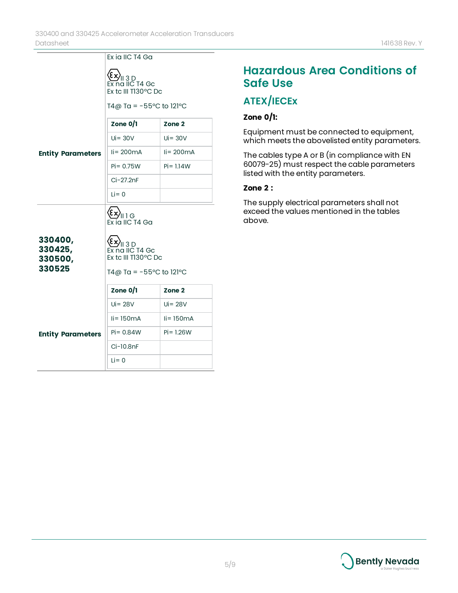|                                         | Ex ia IIC T4 Ga                                                                                    |                                     |
|-----------------------------------------|----------------------------------------------------------------------------------------------------|-------------------------------------|
|                                         | الالاعي)<br>Ex na IIC T4 Gc<br>Ex tc III T130°C Dc<br>T4@ Ta = $-55^{\circ}$ C to 121 $^{\circ}$ C |                                     |
|                                         | Zone $0/1$                                                                                         | Zone 2                              |
|                                         | $Ui = 30V$                                                                                         | $Ui = 30V$                          |
| <b>Entity Parameters</b>                | $\text{li} = 200 \text{mA}$                                                                        | $\mathsf{I}$ i = 200 $\mathsf{m}$ A |
|                                         | $Pi = 0.75W$                                                                                       | $Pi = 1.14W$                        |
|                                         | $Ci - 27.2nF$                                                                                      |                                     |
|                                         | $Li = 0$                                                                                           |                                     |
|                                         | $\left\langle \!\!{\xi \chi}\!\! \right\rangle_{\rm{  ~1~\rm{G}}\!\!}$<br>Ex ia IIC T4 Ga          |                                     |
| 330400,<br>330425,<br>330500,<br>330525 | <b>Ex)</b><br>Ex na IIC T4 Gc<br>Ex tc III T130°C Dc                                               |                                     |
|                                         | T4@ Ta = $-55^{\circ}$ C to 121 $^{\circ}$ C                                                       |                                     |
|                                         | Zone $0/1$                                                                                         | Zone 2                              |
|                                         | $Ui = 28V$                                                                                         | $Ui = 28V$                          |
|                                         | $li = 150mA$                                                                                       | $li = 150mA$                        |
| <b>Entity Parameters</b>                | $Pi = 0.84W$                                                                                       | $Pi = 1.26W$                        |
|                                         | Ci-10.8nF                                                                                          |                                     |
|                                         | $Li = 0$                                                                                           |                                     |

# **Hazardous Area Conditions of Safe Use**

# **ATEX/IECEx**

### **Zone 0/1:**

Equipment must be connected to equipment, which meets the abovelisted entity parameters.

The cables type A or B (in compliance with EN 60079-25) must respect the cable parameters listed with the entity parameters.

#### **Zone 2 :**

The supply electrical parameters shall not exceed the values mentioned in the tables above.

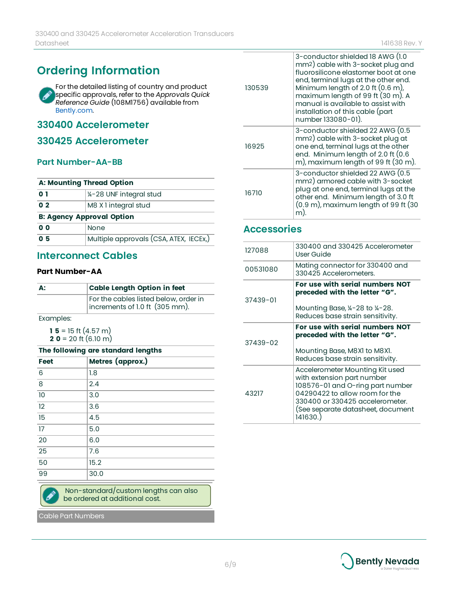# **Ordering Information**

For the detailed listing of country and product Í specific approvals, refer to the *Approvals Quick Reference Guide* (108M1756) available from [Bently.com.](http://www.bently.com/)

### **330400 Accelerometer**

### **330425 Accelerometer**

#### **Part Number-AA-BB**

| <b>A: Mounting Thread Option</b> |                                        |  |
|----------------------------------|----------------------------------------|--|
| 0 1                              | 1/4-28 UNF integral stud               |  |
| 0 <sub>2</sub>                   | M8 X 1 integral stud                   |  |
| <b>B: Agency Approval Option</b> |                                        |  |
| 0 <sub>0</sub>                   | None                                   |  |
| 0 <sub>5</sub>                   | Multiple approvals (CSA, ATEX, IECEX,) |  |

### **Interconnect Cables**

#### **Part Number-AA**

| А:        | <b>Cable Length Option in feet</b>                                      |
|-----------|-------------------------------------------------------------------------|
|           | For the cables listed below, order in<br>increments of 1.0 ft (305 mm). |
| Framples: |                                                                         |

Examples:

**15** = 15 ft  $(4.57 \text{ m})$ **2**  $\mathbf{0} = 20$  ft  $(6.10 \text{ m})$ 

#### **The following are standard lengths**

| Feet | Metres (approx.) |
|------|------------------|
| 6    | 1.8              |
| 8    | 2.4              |
| 10   | 3.0              |
| 12   | 3.6              |
| 15   | 4.5              |
| 17   | 5.0              |
| 20   | 6.0              |
| 25   | 7.6              |
| 50   | 15.2             |
| 99   | 30.0             |

Non-standard/custom lengths can also be ordered at additional cost.

Cable Part Numbers

|  | 130539 | 3-conductor shielded 18 AWG (1.0<br>mm2) cable with 3-socket plug and<br>fluorosilicone elastomer boot at one<br>end, terminal lugs at the other end.<br>Minimum length of 2.0 ft (0.6 m),<br>maximum length of 99 ft (30 m). A<br>manual is available to assist with<br>installation of this cable (part<br>number 133080-01). |
|--|--------|---------------------------------------------------------------------------------------------------------------------------------------------------------------------------------------------------------------------------------------------------------------------------------------------------------------------------------|
|  | 16925  | 3-conductor shielded 22 AWG (0.5<br>mm2) cable with 3-socket plug at<br>one end, terminal lugs at the other<br>end. Minimum length of 2.0 ft (0.6<br>m), maximum length of 99 ft (30 m).                                                                                                                                        |
|  | 16710  | 3-conductor shielded 22 AWG (0.5<br>mm <sub>2</sub> ) armored cable with 3-socket<br>plug at one end, terminal lugs at the<br>other end. Minimum length of 3.0 ft<br>$(0.9 \text{ m})$ , maximum length of 99 ft $(30 \text{ m})$<br>m)                                                                                         |

### **Accessories**

| 127088   | 330400 and 330425 Accelerometer<br>User Guide                                                                                                                                                                                                              |
|----------|------------------------------------------------------------------------------------------------------------------------------------------------------------------------------------------------------------------------------------------------------------|
| 00531080 | Mating connector for 330400 and<br>330425 Accelerometers.                                                                                                                                                                                                  |
| 37439-01 | For use with serial numbers NOT<br>preceded with the letter "G".                                                                                                                                                                                           |
|          | Mounting Base, $\frac{1}{4}$ -28 to $\frac{1}{4}$ -28.<br>Reduces base strain sensitivity.                                                                                                                                                                 |
| 37439-02 | For use with serial numbers NOT<br>preceded with the letter "G".<br>Mounting Base, M8X1 to M8X1.                                                                                                                                                           |
| 43217    | Reduces base strain sensitivity.<br>Accelerometer Mounting Kit used<br>with extension part number<br>108576-01 and O-ring part number<br>04290422 to allow room for the<br>330400 or 330425 accelerometer.<br>(See separate datasheet, document<br>141630. |

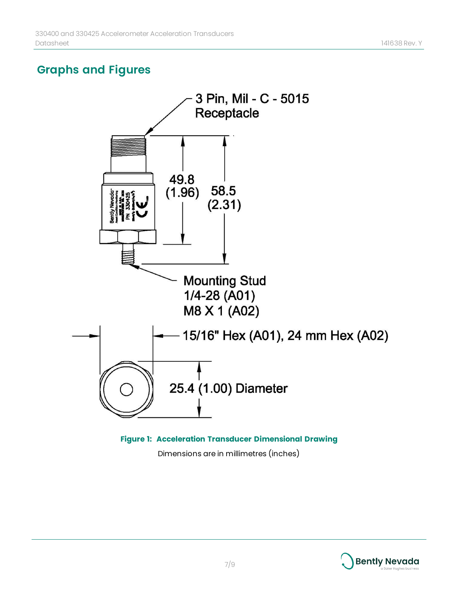# **Graphs and Figures**



Dimensions are in millimetres (inches)

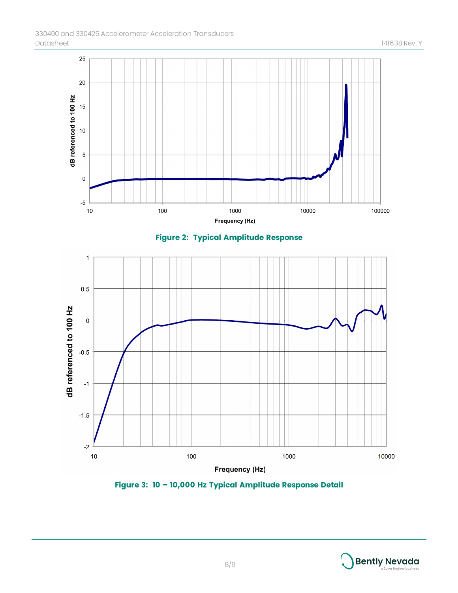

**Figure 3: 10 – 10,000 Hz Typical Amplitude Response Detail**